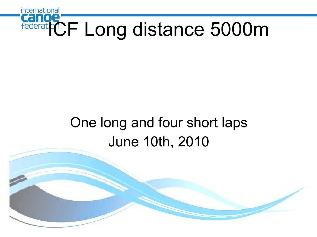

### One long and four short laps June 10th, 2010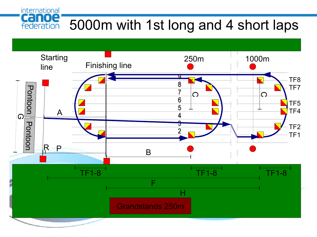international Canoe 5000m with 1st long and 4 short laps federation

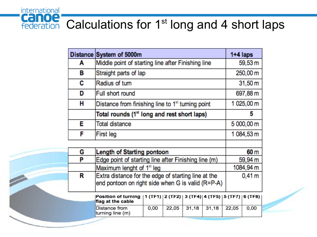

|   | Distance System of 5000m                                      |      |                  |       |                   |         | $1+4$ laps         |  |
|---|---------------------------------------------------------------|------|------------------|-------|-------------------|---------|--------------------|--|
| А | Middle point of starting line after Finishing line            |      |                  |       |                   |         | 59,53 m            |  |
| в | Straight parts of lap                                         |      |                  |       |                   |         | 250,00 m           |  |
| C | Radius of turn                                                |      |                  |       |                   |         | 31,50 m            |  |
| D | Full short round                                              |      |                  |       |                   |         | 697,88 m           |  |
| н | Distance from finishing line to 1 <sup>st</sup> turning point |      |                  |       |                   |         | 1 025,00 m         |  |
|   | Total rounds (1 <sup>st</sup> long and rest short laps)       |      |                  |       |                   |         | 5                  |  |
| Е | Total distance                                                |      |                  |       |                   |         | 5 000,00 m         |  |
| F | First leg                                                     |      |                  |       |                   |         | 1 084,53 m         |  |
|   |                                                               |      |                  |       |                   |         |                    |  |
| G | <b>Length of Starting pontoon</b>                             |      |                  |       |                   |         | 60 m               |  |
| P | Edge point of starting line after Finishing line (m)          |      |                  |       |                   |         | 59,94 m            |  |
|   | Maximum lenght of 1 <sup>st</sup> leg                         |      |                  |       |                   |         | 1084,94 m          |  |
| R | Extra distance for the edge of starting line at the           |      |                  |       |                   |         | $0,41 \, \text{m}$ |  |
|   | end pontoon on right side when G is valid (R=P-A)             |      |                  |       |                   |         |                    |  |
|   | <b>Position of turning</b><br>flag at the cable               |      | 1 (TF1)  2 (TF2) |       | 3 (TF4)   4 (TF5) | 5 (TF7) | 6 (TF8)            |  |
|   | Distance from<br>turning line (m)                             | 0,00 | 22,05            | 31,18 | 31,18             | 22,05   | 0,00               |  |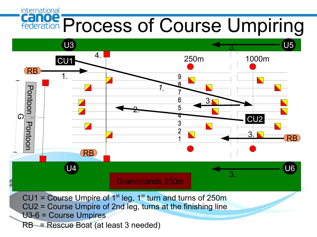### international **Canoe Process of Course Umpiring**

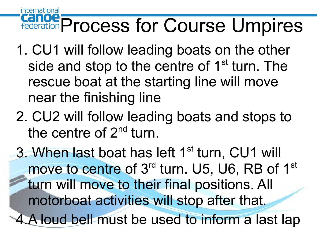### international **Canoe** Process for Course Umpires

- 1. CU1 will follow leading boats on the other side and stop to the centre of 1<sup>st</sup> turn. The rescue boat at the starting line will move near the finishing line
- 2. CU2 will follow leading boats and stops to the centre of 2<sup>nd</sup> turn.

3. When last boat has left 1<sup>st</sup> turn, CU1 will move to centre of 3<sup>rd</sup> turn. U5, U6, RB of 1<sup>st</sup> turn will move to their final positions. All motorboat activities will stop after that. 4.A loud bell must be used to inform a last lap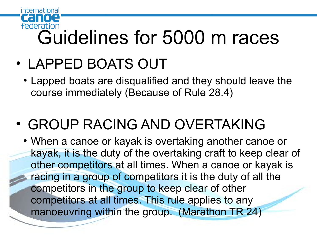

# Federation<br>Guidelines for 5000 m races

- LAPPED BOATS OUT
	- Lapped boats are disqualified and they should leave the course immediately (Because of Rule 28.4)

## • GROUP RACING AND OVERTAKING

• When a canoe or kayak is overtaking another canoe or kayak, it is the duty of the overtaking craft to keep clear of other competitors at all times. When a canoe or kayak is racing in a group of competitors it is the duty of all the competitors in the group to keep clear of other competitors at all times. This rule applies to any manoeuvring within the group. (Marathon TR 24)